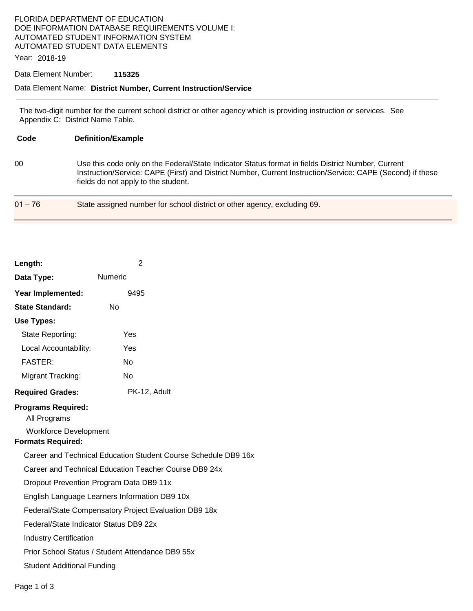## FLORIDA DEPARTMENT OF EDUCATION DOE INFORMATION DATABASE REQUIREMENTS VOLUME I: AUTOMATED STUDENT INFORMATION SYSTEM AUTOMATED STUDENT DATA ELEMENTS

Year: 2018-19

#### Data Element Number: **115325**

## Data Element Name: **District Number, Current Instruction/Service**

The two-digit number for the current school district or other agency which is providing instruction or services. See Appendix C: District Name Table.

| Code      | <b>Definition/Example</b>                                                                                                                                                                                                                               |
|-----------|---------------------------------------------------------------------------------------------------------------------------------------------------------------------------------------------------------------------------------------------------------|
| 00        | Use this code only on the Federal/State Indicator Status format in fields District Number, Current<br>Instruction/Service: CAPE (First) and District Number, Current Instruction/Service: CAPE (Second) if these<br>fields do not apply to the student. |
| $01 - 76$ | State assigned number for school district or other agency, excluding 69.                                                                                                                                                                                |

| Length:                                                                                                                                                                                                                                                                                                                                                                                                                                                                                                                                                   |              |  |  |
|-----------------------------------------------------------------------------------------------------------------------------------------------------------------------------------------------------------------------------------------------------------------------------------------------------------------------------------------------------------------------------------------------------------------------------------------------------------------------------------------------------------------------------------------------------------|--------------|--|--|
| Data Type:                                                                                                                                                                                                                                                                                                                                                                                                                                                                                                                                                | Numeric      |  |  |
| Year Implemented:                                                                                                                                                                                                                                                                                                                                                                                                                                                                                                                                         | 9495         |  |  |
| <b>State Standard:</b>                                                                                                                                                                                                                                                                                                                                                                                                                                                                                                                                    | No           |  |  |
| <b>Use Types:</b>                                                                                                                                                                                                                                                                                                                                                                                                                                                                                                                                         |              |  |  |
| State Reporting:                                                                                                                                                                                                                                                                                                                                                                                                                                                                                                                                          | Yes          |  |  |
| Local Accountability:                                                                                                                                                                                                                                                                                                                                                                                                                                                                                                                                     | Yes          |  |  |
| <b>FASTER:</b>                                                                                                                                                                                                                                                                                                                                                                                                                                                                                                                                            | <b>No</b>    |  |  |
| Migrant Tracking:                                                                                                                                                                                                                                                                                                                                                                                                                                                                                                                                         | <b>No</b>    |  |  |
| <b>Required Grades:</b>                                                                                                                                                                                                                                                                                                                                                                                                                                                                                                                                   | PK-12, Adult |  |  |
| <b>Programs Required:</b><br>All Programs<br><b>Workforce Development</b><br><b>Formats Required:</b><br>Career and Technical Education Student Course Schedule DB9 16x<br>Career and Technical Education Teacher Course DB9 24x<br>Dropout Prevention Program Data DB9 11x<br>English Language Learners Information DB9 10x<br>Federal/State Compensatory Project Evaluation DB9 18x<br>Federal/State Indicator Status DB9 22x<br><b>Industry Certification</b><br>Prior School Status / Student Attendance DB9 55x<br><b>Student Additional Funding</b> |              |  |  |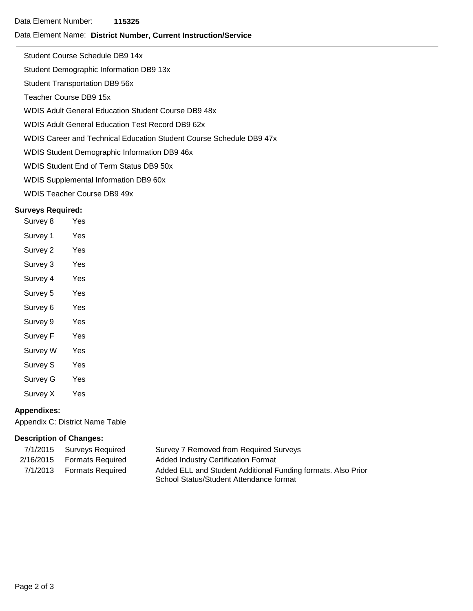#### Data Element Name: **District Number, Current Instruction/Service**

Student Course Schedule DB9 14x

Student Demographic Information DB9 13x

Student Transportation DB9 56x

Teacher Course DB9 15x

WDIS Adult General Education Student Course DB9 48x

WDIS Adult General Education Test Record DB9 62x

WDIS Career and Technical Education Student Course Schedule DB9 47x

WDIS Student Demographic Information DB9 46x

WDIS Student End of Term Status DB9 50x

WDIS Supplemental Information DB9 60x

WDIS Teacher Course DB9 49x

### **Surveys Required:**

| Survey 8            | Yes |
|---------------------|-----|
| Survey 1            | Yes |
| Survey 2            | Yes |
| Survey 3            | Yes |
| Survey 4            | Yes |
| Survey 5            | Yes |
| Survey <sub>6</sub> | Yes |
| Survey 9            | Yes |
| Survey F            | Yes |
| Survey W            | Yes |
| Survey S            | Yes |
| Survey G            | Yes |
| Survey X            | Yes |

### **Appendixes:**

Appendix C: District Name Table

### **Description of Changes:**

| 7/1/2015 Surveys Required  | Survey 7 Removed from Required Surveys                       |
|----------------------------|--------------------------------------------------------------|
| 2/16/2015 Formats Required | <b>Added Industry Certification Format</b>                   |
| 7/1/2013 Formats Required  | Added ELL and Student Additional Funding formats. Also Prior |
|                            | School Status/Student Attendance format                      |